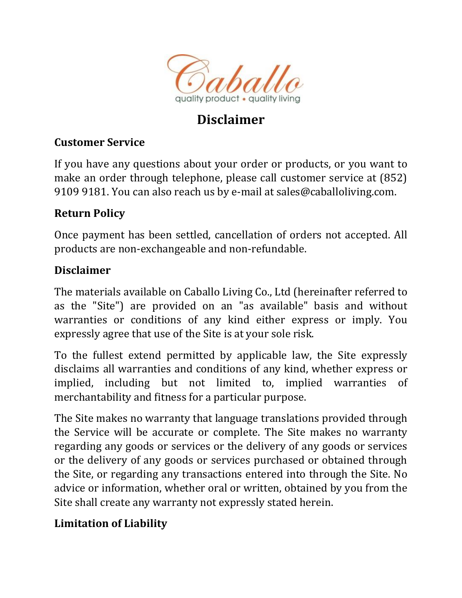

# **Disclaimer**

# **Customer Service**

If you have any questions about your order or products, or you want to make an order through telephone, please call customer service at (852) 9109 9181. You can also reach us by e-mail at sales@caballoliving.com.

### **Return Policy**

Once payment has been settled, cancellation of orders not accepted. All products are non-exchangeable and non-refundable.

### **Disclaimer**

The materials available on Caballo Living Co., Ltd (hereinafter referred to as the "Site") are provided on an "as available" basis and without warranties or conditions of any kind either express or imply. You expressly agree that use of the Site is at your sole risk.

To the fullest extend permitted by applicable law, the Site expressly disclaims all warranties and conditions of any kind, whether express or implied, including but not limited to, implied warranties of merchantability and fitness for a particular purpose.

The Site makes no warranty that language translations provided through the Service will be accurate or complete. The Site makes no warranty regarding any goods or services or the delivery of any goods or services or the delivery of any goods or services purchased or obtained through the Site, or regarding any transactions entered into through the Site. No advice or information, whether oral or written, obtained by you from the Site shall create any warranty not expressly stated herein.

# **Limitation of Liability**